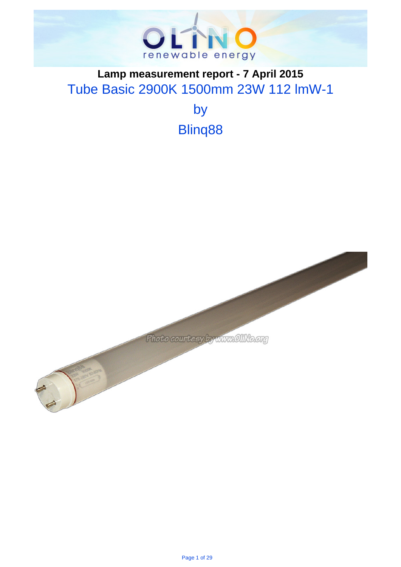

# . **Lamp measurement report - 7 April 2015** Tube Basic 2900K 1500mm 23W 112 lmW-1

by Blinq88

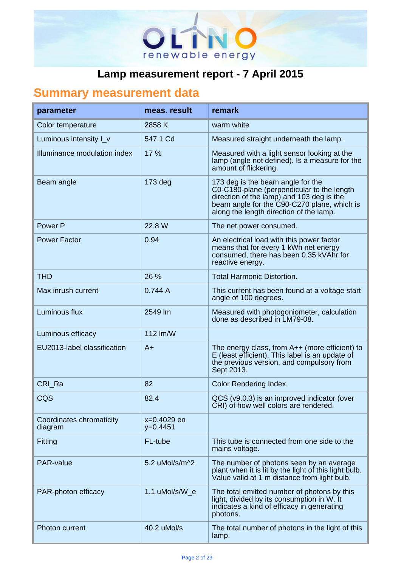

# . **Summary measurement data**

| parameter                           | meas, result              | remark                                                                                                                                                                                                                 |
|-------------------------------------|---------------------------|------------------------------------------------------------------------------------------------------------------------------------------------------------------------------------------------------------------------|
| Color temperature                   | 2858 K                    | warm white                                                                                                                                                                                                             |
| Luminous intensity I_v              | 547.1 Cd                  | Measured straight underneath the lamp.                                                                                                                                                                                 |
| Illuminance modulation index        | 17 %                      | Measured with a light sensor looking at the<br>lamp (angle not defined). Is a measure for the<br>amount of flickering.                                                                                                 |
| Beam angle                          | $173$ deg                 | 173 deg is the beam angle for the<br>C0-C180-plane (perpendicular to the length<br>direction of the lamp) and 103 deg is the<br>beam angle for the C90-C270 plane, which is<br>along the length direction of the lamp. |
| Power P                             | 22.8 W                    | The net power consumed.                                                                                                                                                                                                |
| <b>Power Factor</b>                 | 0.94                      | An electrical load with this power factor<br>means that for every 1 kWh net energy<br>consumed, there has been 0.35 kVAhr for<br>reactive energy.                                                                      |
| <b>THD</b>                          | 26 %                      | <b>Total Harmonic Distortion.</b>                                                                                                                                                                                      |
| Max inrush current                  | 0.744A                    | This current has been found at a voltage start<br>angle of 100 degrees.                                                                                                                                                |
| Luminous flux                       | 2549 lm                   | Measured with photogoniometer, calculation<br>done as described in LM79-08.                                                                                                                                            |
| Luminous efficacy                   | 112 lm/W                  |                                                                                                                                                                                                                        |
| EU2013-label classification         | $A+$                      | The energy class, from $A++$ (more efficient) to<br>E (least efficient). This label is an update of<br>the previous version, and compulsory from<br>Sept 2013.                                                         |
| CRI Ra                              | 82                        | Color Rendering Index.                                                                                                                                                                                                 |
| CQS                                 | 82.4                      | QCS (v9.0.3) is an improved indicator (over<br>CRI) of how well colors are rendered.                                                                                                                                   |
| Coordinates chromaticity<br>diagram | x=0.4029 en<br>$y=0.4451$ |                                                                                                                                                                                                                        |
| Fitting                             | FL-tube                   | This tube is connected from one side to the<br>mains voltage.                                                                                                                                                          |
| <b>PAR-value</b>                    | 5.2 uMol/s/m^2            | The number of photons seen by an average<br>plant when it is lit by the light of this light bulb.<br>Value valid at 1 m distance from light bulb.                                                                      |
| PAR-photon efficacy                 | 1.1 uMol/s/W_e            | The total emitted number of photons by this<br>light, divided by its consumption in W. It<br>indicates a kind of efficacy in generating<br>photons.                                                                    |
| Photon current                      | 40.2 uMol/s               | The total number of photons in the light of this<br>lamp.                                                                                                                                                              |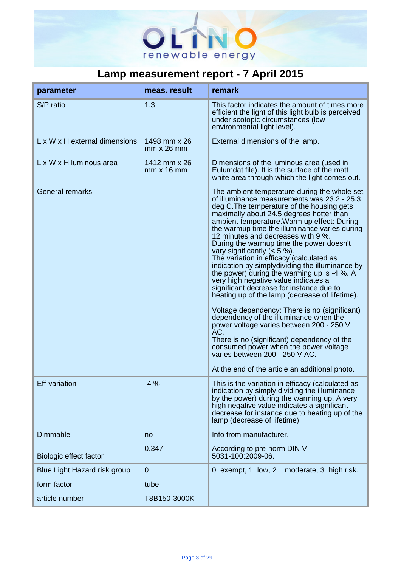

| parameter                     | meas. result                      | remark                                                                                                                                                                                                                                                                                                                                                                                                                                                                                                                                                                                                                                                                                                                                                                                                                                                                                                                                                                                                                  |
|-------------------------------|-----------------------------------|-------------------------------------------------------------------------------------------------------------------------------------------------------------------------------------------------------------------------------------------------------------------------------------------------------------------------------------------------------------------------------------------------------------------------------------------------------------------------------------------------------------------------------------------------------------------------------------------------------------------------------------------------------------------------------------------------------------------------------------------------------------------------------------------------------------------------------------------------------------------------------------------------------------------------------------------------------------------------------------------------------------------------|
| S/P ratio                     | 1.3                               | This factor indicates the amount of times more<br>efficient the light of this light bulb is perceived<br>under scotopic circumstances (low<br>environmental light level).                                                                                                                                                                                                                                                                                                                                                                                                                                                                                                                                                                                                                                                                                                                                                                                                                                               |
| L x W x H external dimensions | 1498 mm x 26<br>$mm \times 26$ mm | External dimensions of the lamp.                                                                                                                                                                                                                                                                                                                                                                                                                                                                                                                                                                                                                                                                                                                                                                                                                                                                                                                                                                                        |
| L x W x H luminous area       | 1412 mm x 26<br>$mm \times 16 mm$ | Dimensions of the luminous area (used in<br>Eulumdat file). It is the surface of the matt<br>white area through which the light comes out.                                                                                                                                                                                                                                                                                                                                                                                                                                                                                                                                                                                                                                                                                                                                                                                                                                                                              |
| <b>General remarks</b>        |                                   | The ambient temperature during the whole set<br>of illuminance measurements was 23.2 - 25.3<br>deg C. The temperature of the housing gets<br>maximally about 24.5 degrees hotter than<br>ambient temperature. Warm up effect: During<br>the warmup time the illuminance varies during<br>12 minutes and decreases with 9 %.<br>During the warmup time the power doesn't<br>vary significantly $(< 5 %)$ .<br>The variation in efficacy (calculated as<br>indication by simplydividing the illuminance by<br>the power) during the warming up is -4 %. A<br>very high negative value indicates a<br>significant decrease for instance due to<br>heating up of the lamp (decrease of lifetime).<br>Voltage dependency: There is no (significant)<br>dependency of the illuminance when the<br>power voltage varies between 200 - 250 V<br>AC.<br>There is no (significant) dependency of the<br>consumed power when the power voltage<br>varies between 200 - 250 V AC.<br>At the end of the article an additional photo. |
| <b>Eff-variation</b>          | $-4%$                             | This is the variation in efficacy (calculated as<br>indication by simply dividing the illuminance<br>by the power) during the warming up. A very<br>high negative value indicates a significant<br>decrease for instance due to heating up of the<br>lamp (decrease of lifetime).                                                                                                                                                                                                                                                                                                                                                                                                                                                                                                                                                                                                                                                                                                                                       |
| <b>Dimmable</b>               | no                                | Info from manufacturer.                                                                                                                                                                                                                                                                                                                                                                                                                                                                                                                                                                                                                                                                                                                                                                                                                                                                                                                                                                                                 |
| Biologic effect factor        | 0.347                             | According to pre-norm DIN V<br>5031-100:2009-06.                                                                                                                                                                                                                                                                                                                                                                                                                                                                                                                                                                                                                                                                                                                                                                                                                                                                                                                                                                        |
| Blue Light Hazard risk group  | $\mathbf{0}$                      | 0=exempt, $1=low$ , $2=moderate$ , $3=high risk$ .                                                                                                                                                                                                                                                                                                                                                                                                                                                                                                                                                                                                                                                                                                                                                                                                                                                                                                                                                                      |
| form factor                   | tube                              |                                                                                                                                                                                                                                                                                                                                                                                                                                                                                                                                                                                                                                                                                                                                                                                                                                                                                                                                                                                                                         |
| article number                | T8B150-3000K                      |                                                                                                                                                                                                                                                                                                                                                                                                                                                                                                                                                                                                                                                                                                                                                                                                                                                                                                                                                                                                                         |

.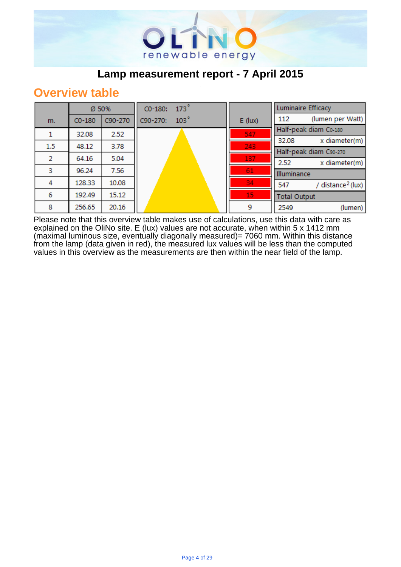

#### **Overview table**

|     | Ø 50%    |         | $CO-180:$ | $173^\circ$      |           |                     | <b>Luminaire Efficacy</b>     |
|-----|----------|---------|-----------|------------------|-----------|---------------------|-------------------------------|
| m.  | $CO-180$ | C90-270 | C90-270:  | 103 <sup>°</sup> | $E$ (lux) | 112                 | (lumen per Watt)              |
|     | 32.08    | 2.52    |           |                  | 547       |                     | Half-peak diam Co-180         |
|     |          |         |           |                  |           | 32.08               | x diameter(m)                 |
| 1.5 | 48.12    | 3.78    |           |                  | 243       |                     | Half-peak diam C90-270        |
| 2   | 64.16    | 5.04    |           |                  | 137       | 2.52                | x diameter(m)                 |
| з   | 96.24    | 7.56    |           |                  | 61        | Illuminance         |                               |
| 4   | 128.33   | 10.08   |           |                  | 34        | 547                 | / distance <sup>2</sup> (lux) |
|     |          |         |           |                  |           |                     |                               |
| 6   | 192.49   | 15.12   |           |                  | 15        | <b>Total Output</b> |                               |
| 8   | 256.65   | 20.16   |           |                  | 9         | 2549                | (lumen)                       |

Please note that this overview table makes use of calculations, use this data with care as explained on the OliNo site. E (lux) values are not accurate, when within 5 x 1412 mm (maximal luminous size, eventually diagonally measured)= 7060 mm. Within this distance from the lamp (data given in red), the measured lux values will be less than the computed values in this overview as the measurements are then within the near field of the lamp.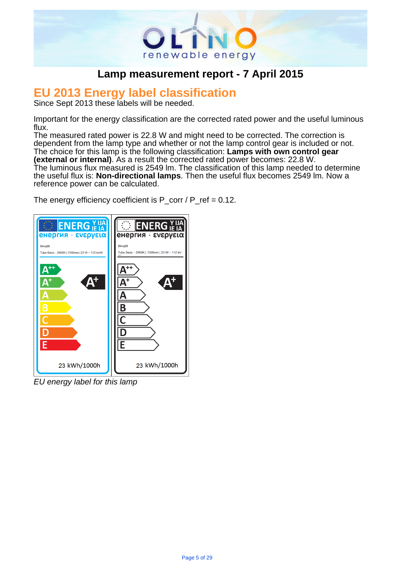

# . **EU 2013 Energy label classification**

Since Sept 2013 these labels will be needed.

Important for the energy classification are the corrected rated power and the useful luminous flux.

The measured rated power is 22.8 W and might need to be corrected. The correction is dependent from the lamp type and whether or not the lamp control gear is included or not. The choice for this lamp is the following classification: **Lamps with own control gear (external or internal)**. As a result the corrected rated power becomes: 22.8 W. The luminous flux measured is 2549 lm. The classification of this lamp needed to determine the useful flux is: **Non-directional lamps**. Then the useful flux becomes 2549 lm. Now a reference power can be calculated.

The energy efficiency coefficient is  $P_{corr}$  /  $P_{ref}$  = 0.12.



EU energy label for this lamp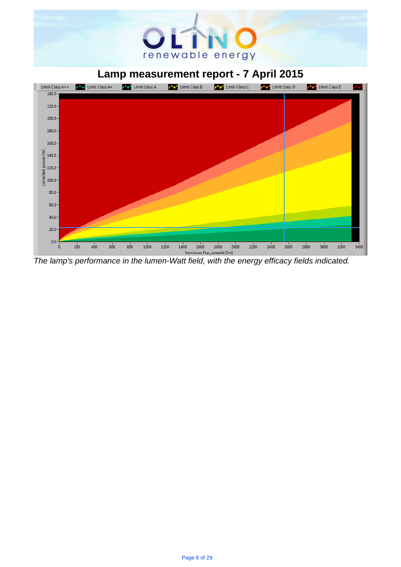# renewable energy

## . **Lamp measurement report - 7 April 2015**



The lamp's performance in the lumen-Watt field, with the energy efficacy fields indicated.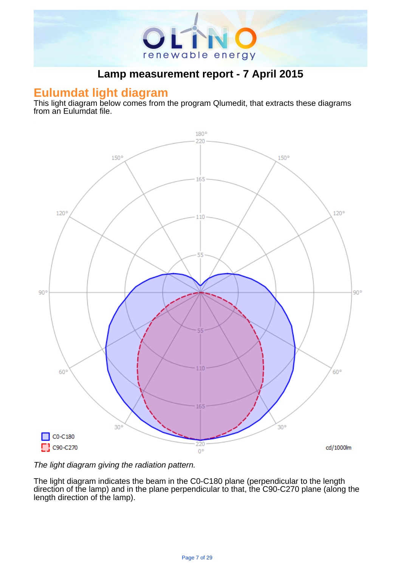

#### **Eulumdat light diagram**

This light diagram below comes from the program Qlumedit, that extracts these diagrams from an Eulumdat file.



The light diagram giving the radiation pattern.

The light diagram indicates the beam in the C0-C180 plane (perpendicular to the length direction of the lamp) and in the plane perpendicular to that, the C90-C270 plane (along the length direction of the lamp).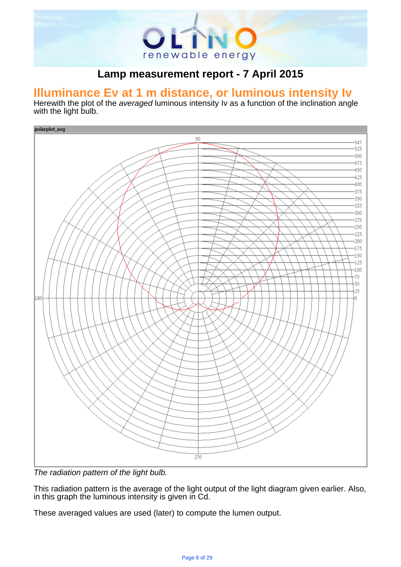

# . **Illuminance Ev at 1 m distance, or luminous intensity Iv**

Herewith the plot of the averaged luminous intensity Iv as a function of the inclination angle with the light bulb.



The radiation pattern of the light bulb.

This radiation pattern is the average of the light output of the light diagram given earlier. Also, in this graph the luminous intensity is given in Cd.

These averaged values are used (later) to compute the lumen output.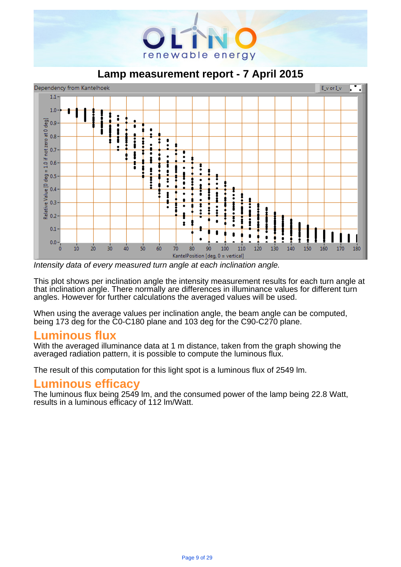

. **Lamp measurement report - 7 April 2015**



Intensity data of every measured turn angle at each inclination angle.

This plot shows per inclination angle the intensity measurement results for each turn angle at that inclination angle. There normally are differences in illuminance values for different turn angles. However for further calculations the averaged values will be used.

When using the average values per inclination angle, the beam angle can be computed, being 173 deg for the C0-C180 plane and 103 deg for the C90-C270 plane.

#### **Luminous flux**

With the averaged illuminance data at 1 m distance, taken from the graph showing the averaged radiation pattern, it is possible to compute the luminous flux.

The result of this computation for this light spot is a luminous flux of 2549 lm.

#### **Luminous efficacy**

The luminous flux being 2549 lm, and the consumed power of the lamp being 22.8 Watt, results in a luminous efficacy of 112 lm/Watt.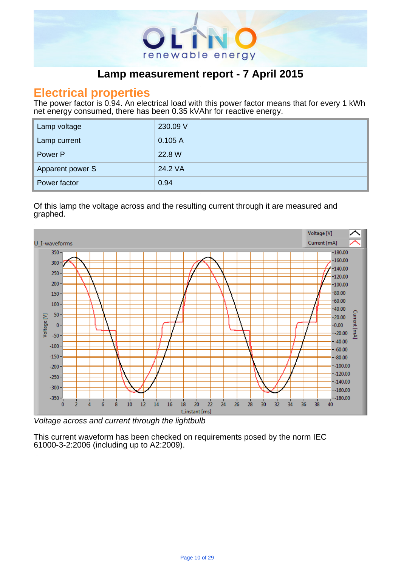

#### **Electrical properties**

The power factor is 0.94. An electrical load with this power factor means that for every 1 kWh net energy consumed, there has been 0.35 kVAhr for reactive energy.

| Lamp voltage     | 230.09 V |
|------------------|----------|
| Lamp current     | 0.105A   |
| Power P          | 22.8 W   |
| Apparent power S | 24.2 VA  |
| Power factor     | 0.94     |

.

#### Of this lamp the voltage across and the resulting current through it are measured and graphed. .



Voltage across and current through the lightbulb

This current waveform has been checked on requirements posed by the norm IEC 61000-3-2:2006 (including up to A2:2009).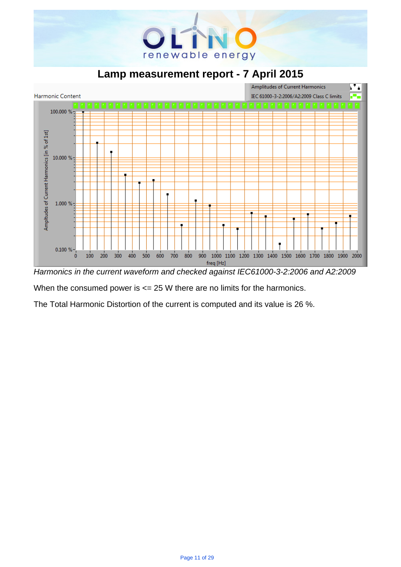

. **Lamp measurement report - 7 April 2015**



Harmonics in the current waveform and checked against IEC61000-3-2:2006 and A2:2009

When the consumed power is  $\leq$  25 W there are no limits for the harmonics.

The Total Harmonic Distortion of the current is computed and its value is 26 %.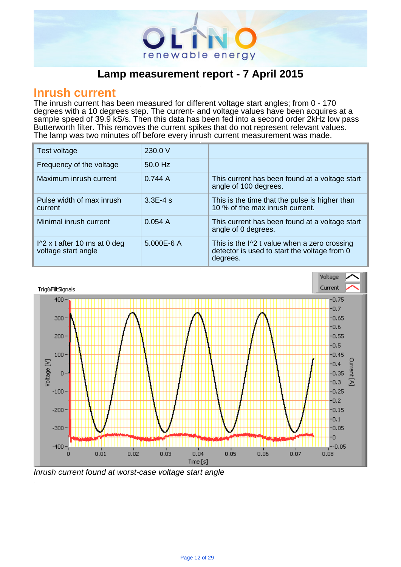

#### **Inrush current**

The inrush current has been measured for different voltage start angles; from 0 - 170 degrees with a 10 degrees step. The current- and voltage values have been acquires at a sample speed of 39.9 kS/s. Then this data has been fed into a second order 2kHz low pass Butterworth filter. This removes the current spikes that do not represent relevant values. The lamp was two minutes off before every inrush current measurement was made.

| Test voltage                                                  | 230.0 V     |                                                                                                                    |
|---------------------------------------------------------------|-------------|--------------------------------------------------------------------------------------------------------------------|
| Frequency of the voltage                                      | 50.0 Hz     |                                                                                                                    |
| Maximum inrush current                                        | 0.744A      | This current has been found at a voltage start<br>angle of 100 degrees.                                            |
| Pulse width of max inrush<br>current                          | $3.3E - 4s$ | This is the time that the pulse is higher than<br>10 % of the max inrush current.                                  |
| Minimal inrush current                                        | 0.054A      | This current has been found at a voltage start<br>angle of 0 degrees.                                              |
| $\frac{1}{2}$ x t after 10 ms at 0 deg<br>voltage start angle | 5.000E-6 A  | This is the $\frac{1}{2}$ t value when a zero crossing<br>detector is used to start the voltage from 0<br>degrees. |

.



Inrush current found at worst-case voltage start angle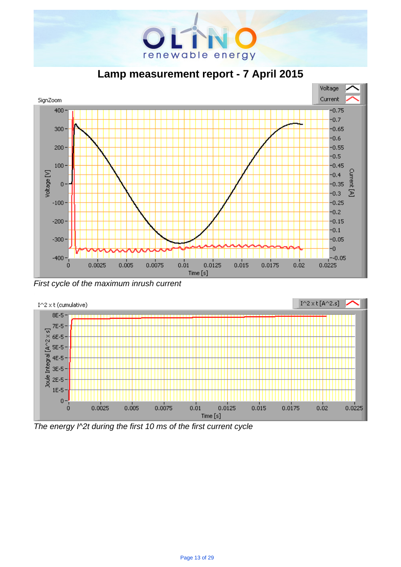

. **Lamp measurement report - 7 April 2015**



First cycle of the maximum inrush current



The energy I^2t during the first 10 ms of the first current cycle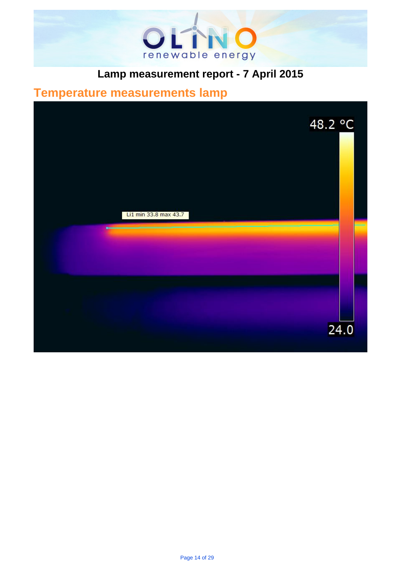

# . **Temperature measurements lamp**

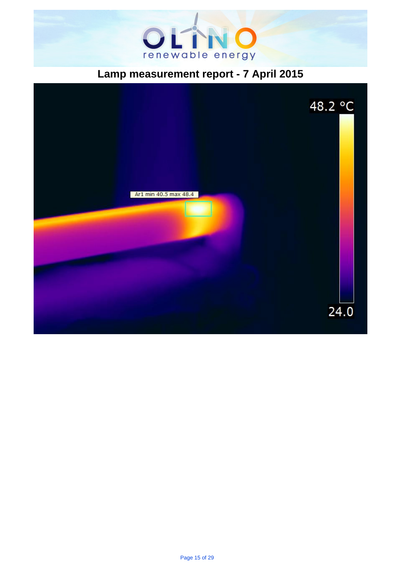

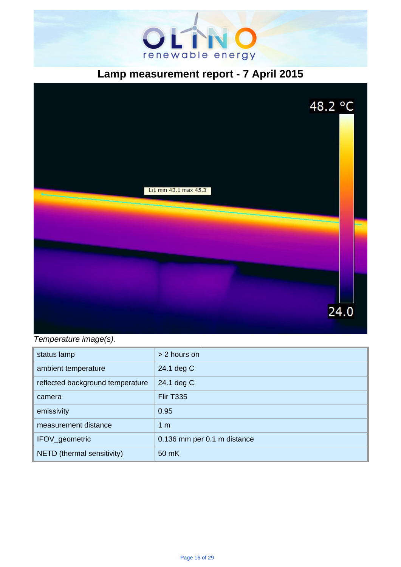



Temperature image(s).

| status lamp                      | > 2 hours on                |
|----------------------------------|-----------------------------|
| ambient temperature              | 24.1 deg C                  |
| reflected background temperature | 24.1 deg C                  |
| camera                           | <b>Flir T335</b>            |
| emissivity                       | 0.95                        |
| measurement distance             | 1 <sub>m</sub>              |
| IFOV_geometric                   | 0.136 mm per 0.1 m distance |
| NETD (thermal sensitivity)       | 50 mK                       |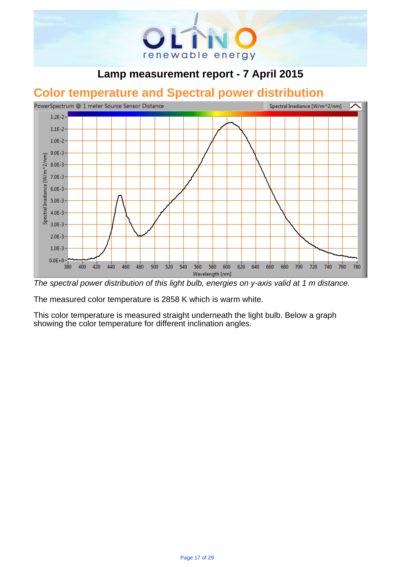

# . **Color temperature and Spectral power distribution**



The spectral power distribution of this light bulb, energies on y-axis valid at 1 m distance.

The measured color temperature is 2858 K which is warm white.

This color temperature is measured straight underneath the light bulb. Below a graph showing the color temperature for different inclination angles.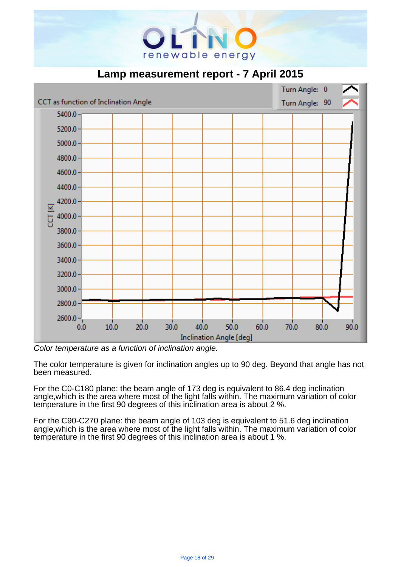



Color temperature as a function of inclination angle.

The color temperature is given for inclination angles up to 90 deg. Beyond that angle has not been measured.

For the C0-C180 plane: the beam angle of 173 deg is equivalent to 86.4 deg inclination angle,which is the area where most of the light falls within. The maximum variation of color temperature in the first 90 degrees of this inclination area is about 2 %.

For the C90-C270 plane: the beam angle of 103 deg is equivalent to 51.6 deg inclination angle,which is the area where most of the light falls within. The maximum variation of color temperature in the first 90 degrees of this inclination area is about 1 %.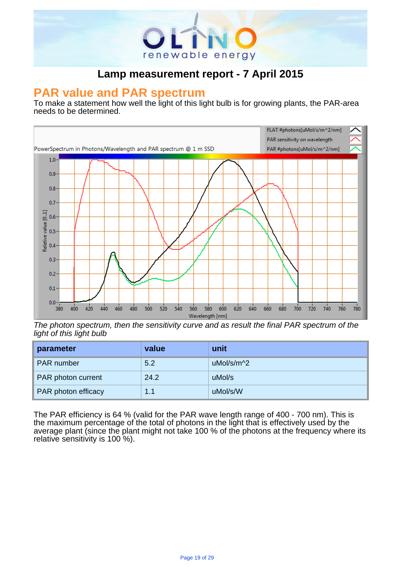

# . **PAR value and PAR spectrum**

To make a statement how well the light of this light bulb is for growing plants, the PAR-area needs to be determined.



The photon spectrum, then the sensitivity curve and as result the final PAR spectrum of the light of this light bulb

| parameter           | value | unit       |
|---------------------|-------|------------|
| PAR number          | 5.2   | uMol/s/m^2 |
| PAR photon current  | 24.2  | uMol/s     |
| PAR photon efficacy | 1.1   | uMol/s/W   |

The PAR efficiency is 64 % (valid for the PAR wave length range of 400 - 700 nm). This is the maximum percentage of the total of photons in the light that is effectively used by the average plant (since the plant might not take 100 % of the photons at the frequency where its relative sensitivity is 100 %).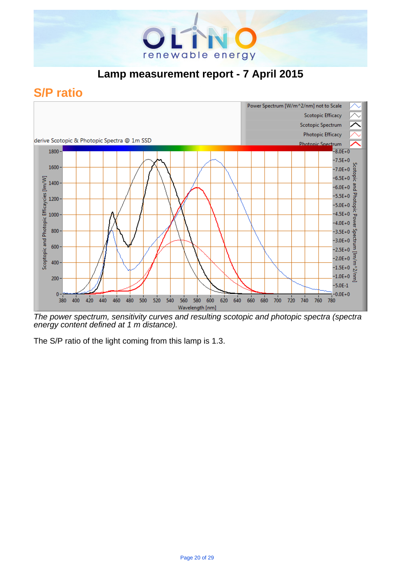

## **S/P ratio**



The power spectrum, sensitivity curves and resulting scotopic and photopic spectra (spectra energy content defined at 1 m distance).

The S/P ratio of the light coming from this lamp is 1.3.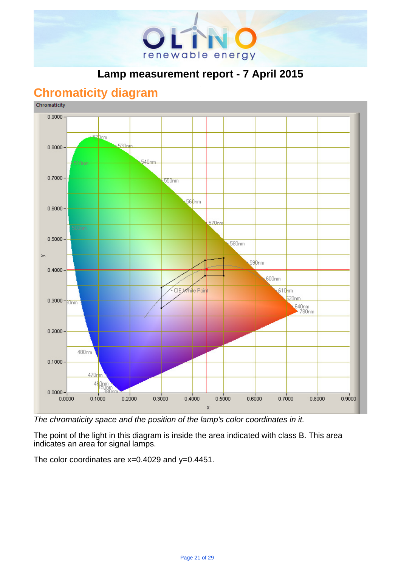

## **Chromaticity diagram**



The chromaticity space and the position of the lamp's color coordinates in it.

The point of the light in this diagram is inside the area indicated with class B. This area indicates an area for signal lamps.

The color coordinates are x=0.4029 and y=0.4451.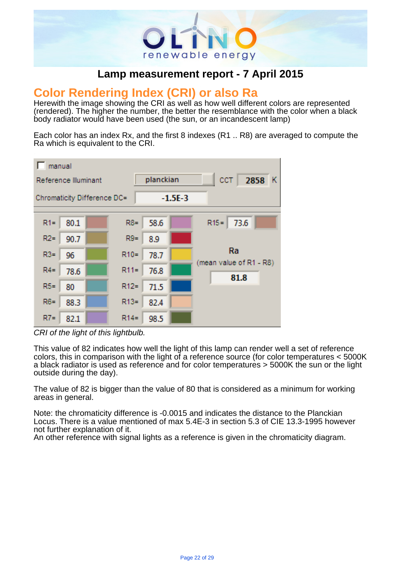

# . **Color Rendering Index (CRI) or also Ra**

Herewith the image showing the CRI as well as how well different colors are represented (rendered). The higher the number, the better the resemblance with the color when a black body radiator would have been used (the sun, or an incandescent lamp)

Each color has an index Rx, and the first 8 indexes (R1 .. R8) are averaged to compute the Ra which is equivalent to the CRI.



CRI of the light of this lightbulb.

This value of 82 indicates how well the light of this lamp can render well a set of reference colors, this in comparison with the light of a reference source (for color temperatures < 5000K a black radiator is used as reference and for color temperatures > 5000K the sun or the light outside during the day).

The value of 82 is bigger than the value of 80 that is considered as a minimum for working areas in general.

Note: the chromaticity difference is -0.0015 and indicates the distance to the Planckian Locus. There is a value mentioned of max 5.4E-3 in section 5.3 of CIE 13.3-1995 however not further explanation of it.

An other reference with signal lights as a reference is given in the chromaticity diagram.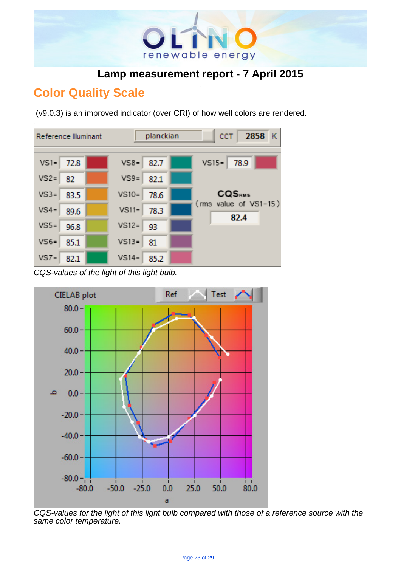

## **Color Quality Scale**

(v9.0.3) is an improved indicator (over CRI) of how well colors are rendered.



CQS-values of the light of this light bulb.



CQS-values for the light of this light bulb compared with those of a reference source with the same color temperature.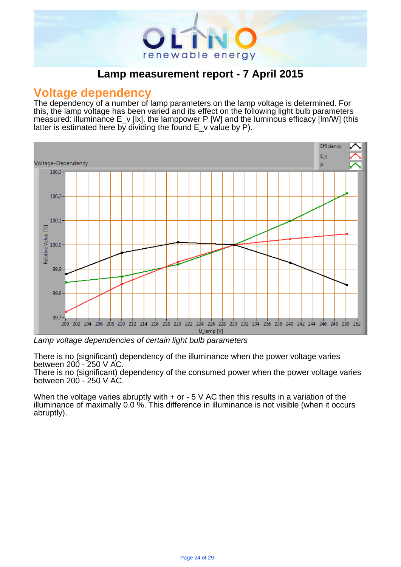

#### **Voltage dependency**

The dependency of a number of lamp parameters on the lamp voltage is determined. For this, the lamp voltage has been varied and its effect on the following light bulb parameters measured: illuminance E\_v [lx], the lamppower P [W] and the luminous efficacy [lm/W] (this latter is estimated here by dividing the found  $E_{v}$  value by P).

.



Lamp voltage dependencies of certain light bulb parameters

There is no (significant) dependency of the illuminance when the power voltage varies between 200 - 250 V AC.

There is no (significant) dependency of the consumed power when the power voltage varies between 200 - 250 V AC.

When the voltage varies abruptly with  $+$  or  $-5$  V AC then this results in a variation of the illuminance of maximally 0.0 %. This difference in illuminance is not visible (when it occurs abruptly).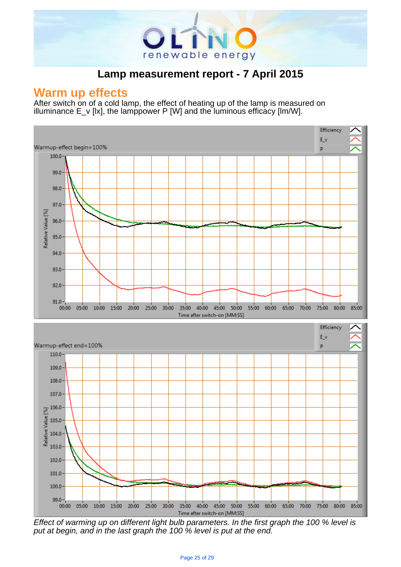

.

#### **Warm up effects**

After switch on of a cold lamp, the effect of heating up of the lamp is measured on illuminance  $E_v$  [kx], the lamppower P [W] and the luminous efficacy [lm/W].



Effect of warming up on different light bulb parameters. In the first graph the 100 % level is put at begin, and in the last graph the 100 % level is put at the end.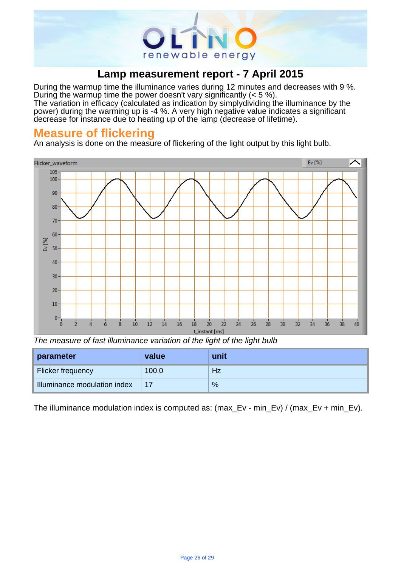

During the warmup time the illuminance varies during 12 minutes and decreases with 9 %. During the warmup time the power doesn't vary significantly (< 5 %). The variation in efficacy (calculated as indication by simply dividing the illuminance by the

power) during the warming up is -4 %. A very high negative value indicates a significant decrease for instance due to heating up of the lamp (decrease of lifetime).

#### **Measure of flickering**

An analysis is done on the measure of flickering of the light output by this light bulb.



The measure of fast illuminance variation of the light of the light bulb

| parameter                    | value | unit |
|------------------------------|-------|------|
| Flicker frequency            | 100.0 | Hz   |
| Illuminance modulation index | 17    | %    |

The illuminance modulation index is computed as: (max Ev - min\_Ev) / (max Ev + min\_Ev).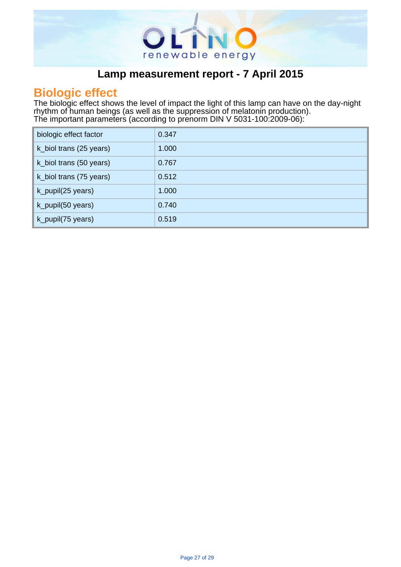

# . **Biologic effect**

The biologic effect shows the level of impact the light of this lamp can have on the day-night rhythm of human beings (as well as the suppression of melatonin production). The important parameters (according to prenorm DIN V 5031-100:2009-06): .

| biologic effect factor  | 0.347 |
|-------------------------|-------|
| k_biol trans (25 years) | 1.000 |
| k_biol trans (50 years) | 0.767 |
| k_biol trans (75 years) | 0.512 |
| k_pupil(25 years)       | 1.000 |
| k_pupil(50 years)       | 0.740 |
| k_pupil(75 years)       | 0.519 |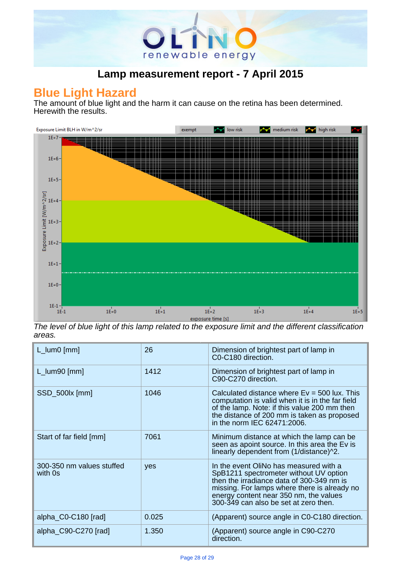

#### **Blue Light Hazard**

The amount of blue light and the harm it can cause on the retina has been determined. Herewith the results.



The level of blue light of this lamp related to the exposure limit and the different classification areas.

| $L_lum0$ [mm]                        | 26    | Dimension of brightest part of lamp in<br>C0-C180 direction.                                                                                                                                                                                                     |
|--------------------------------------|-------|------------------------------------------------------------------------------------------------------------------------------------------------------------------------------------------------------------------------------------------------------------------|
| $L_lum90$ [mm]                       | 1412  | Dimension of brightest part of lamp in<br>C90-C270 direction.                                                                                                                                                                                                    |
| SSD_500lx [mm]                       | 1046  | Calculated distance where $Ev = 500$ lux. This<br>computation is valid when it is in the far field<br>of the lamp. Note: if this value 200 mm then<br>the distance of 200 mm is taken as proposed<br>in the norm IEC 62471:2006.                                 |
| Start of far field [mm]              | 7061  | Minimum distance at which the lamp can be<br>seen as apoint source. In this area the Ev is<br>linearly dependent from (1/distance)^2.                                                                                                                            |
| 300-350 nm values stuffed<br>with 0s | yes   | In the event OliNo has measured with a<br>SpB1211 spectrometer without UV option<br>then the irradiance data of 300-349 nm is<br>missing. For lamps where there is already no<br>energy content near 350 nm, the values<br>300-349 can also be set at zero then. |
| alpha_C0-C180 [rad]                  | 0.025 | (Apparent) source angle in C0-C180 direction.                                                                                                                                                                                                                    |
| alpha_C90-C270 [rad]                 | 1.350 | (Apparent) source angle in C90-C270<br>direction.                                                                                                                                                                                                                |